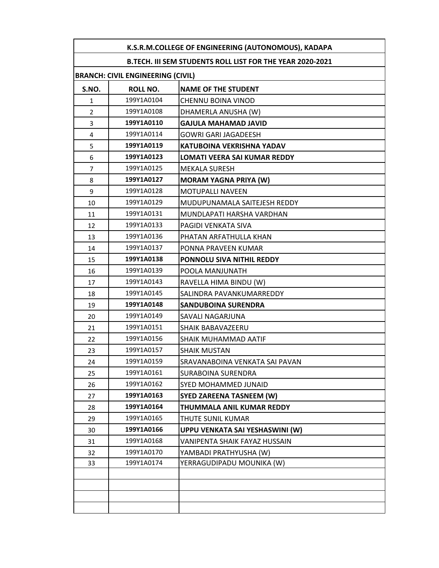| K.S.R.M.COLLEGE OF ENGINEERING (AUTONOMOUS), KADAPA              |            |                                     |  |
|------------------------------------------------------------------|------------|-------------------------------------|--|
| <b>B.TECH. III SEM STUDENTS ROLL LIST FOR THE YEAR 2020-2021</b> |            |                                     |  |
| <b>BRANCH: CIVIL ENGINEERING (CIVIL)</b>                         |            |                                     |  |
| S.NO.                                                            | ROLL NO.   | <b>NAME OF THE STUDENT</b>          |  |
| 1                                                                | 199Y1A0104 | CHENNU BOINA VINOD                  |  |
| $\overline{2}$                                                   | 199Y1A0108 | DHAMERLA ANUSHA (W)                 |  |
| 3                                                                | 199Y1A0110 | <b>GAJULA MAHAMAD JAVID</b>         |  |
| 4                                                                | 199Y1A0114 | <b>GOWRI GARI JAGADEESH</b>         |  |
| 5                                                                | 199Y1A0119 | <b>KATUBOINA VEKRISHNA YADAV</b>    |  |
| 6                                                                | 199Y1A0123 | <b>LOMATI VEERA SAI KUMAR REDDY</b> |  |
| 7                                                                | 199Y1A0125 | <b>MEKALA SURESH</b>                |  |
| 8                                                                | 199Y1A0127 | <b>MORAM YAGNA PRIYA (W)</b>        |  |
| 9                                                                | 199Y1A0128 | <b>MOTUPALLI NAVEEN</b>             |  |
| 10                                                               | 199Y1A0129 | MUDUPUNAMALA SAITEJESH REDDY        |  |
| 11                                                               | 199Y1A0131 | MUNDLAPATI HARSHA VARDHAN           |  |
| 12                                                               | 199Y1A0133 | PAGIDI VENKATA SIVA                 |  |
| 13                                                               | 199Y1A0136 | PHATAN ARFATHULLA KHAN              |  |
| 14                                                               | 199Y1A0137 | PONNA PRAVEEN KUMAR                 |  |
| 15                                                               | 199Y1A0138 | PONNOLU SIVA NITHIL REDDY           |  |
| 16                                                               | 199Y1A0139 | POOLA MANJUNATH                     |  |
| 17                                                               | 199Y1A0143 | RAVELLA HIMA BINDU (W)              |  |
| 18                                                               | 199Y1A0145 | SALINDRA PAVANKUMARREDDY            |  |
| 19                                                               | 199Y1A0148 | <b>SANDUBOINA SURENDRA</b>          |  |
| 20                                                               | 199Y1A0149 | SAVALI NAGARJUNA                    |  |
| 21                                                               | 199Y1A0151 | SHAIK BABAVAZEERU                   |  |
| 22                                                               | 199Y1A0156 | SHAIK MUHAMMAD AATIF                |  |
| 23                                                               | 199Y1A0157 | SHAIK MUSTAN                        |  |
| 24                                                               | 199Y1A0159 | SRAVANABOINA VENKATA SAI PAVAN      |  |
| 25                                                               | 199Y1A0161 | SURABOINA SURENDRA                  |  |
| 26                                                               | 199Y1A0162 | SYED MOHAMMED JUNAID                |  |
| 27                                                               | 199Y1A0163 | <b>SYED ZAREENA TASNEEM (W)</b>     |  |
| 28                                                               | 199Y1A0164 | THUMMALA ANIL KUMAR REDDY           |  |
| 29                                                               | 199Y1A0165 | THUTE SUNIL KUMAR                   |  |
| 30                                                               | 199Y1A0166 | UPPU VENKATA SAI YESHASWINI (W)     |  |
| 31                                                               | 199Y1A0168 | VANIPENTA SHAIK FAYAZ HUSSAIN       |  |
| 32                                                               | 199Y1A0170 | YAMBADI PRATHYUSHA (W)              |  |
| 33                                                               | 199Y1A0174 | YERRAGUDIPADU MOUNIKA (W)           |  |
|                                                                  |            |                                     |  |
|                                                                  |            |                                     |  |
|                                                                  |            |                                     |  |
|                                                                  |            |                                     |  |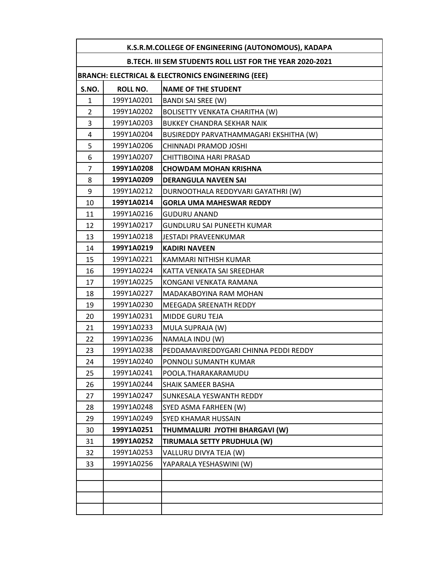|                | K.S.R.M.COLLEGE OF ENGINEERING (AUTONOMOUS), KADAPA       |                                                               |  |
|----------------|-----------------------------------------------------------|---------------------------------------------------------------|--|
|                | B.TECH. III SEM STUDENTS ROLL LIST FOR THE YEAR 2020-2021 |                                                               |  |
|                |                                                           | <b>BRANCH: ELECTRICAL &amp; ELECTRONICS ENGINEERING (EEE)</b> |  |
| S.NO.          | <b>ROLL NO.</b>                                           | <b>NAME OF THE STUDENT</b>                                    |  |
| $\mathbf{1}$   | 199Y1A0201                                                | BANDI SAI SREE (W)                                            |  |
| $\overline{2}$ | 199Y1A0202                                                | <b>BOLISETTY VENKATA CHARITHA (W)</b>                         |  |
| 3              | 199Y1A0203                                                | BUKKEY CHANDRA SEKHAR NAIK                                    |  |
| 4              | 199Y1A0204                                                | BUSIREDDY PARVATHAMMAGARI EKSHITHA (W)                        |  |
| 5              | 199Y1A0206                                                | CHINNADI PRAMOD JOSHI                                         |  |
| 6              | 199Y1A0207                                                | CHITTIBOINA HARI PRASAD                                       |  |
| $\overline{7}$ | 199Y1A0208                                                | <b>CHOWDAM MOHAN KRISHNA</b>                                  |  |
| 8              | 199Y1A0209                                                | <b>DERANGULA NAVEEN SAI</b>                                   |  |
| 9              | 199Y1A0212                                                | DURNOOTHALA REDDYVARI GAYATHRI (W)                            |  |
| 10             | 199Y1A0214                                                | <b>GORLA UMA MAHESWAR REDDY</b>                               |  |
| 11             | 199Y1A0216                                                | <b>GUDURU ANAND</b>                                           |  |
| 12             | 199Y1A0217                                                | GUNDLURU SAI PUNEETH KUMAR                                    |  |
| 13             | 199Y1A0218                                                | JESTADI PRAVEENKUMAR                                          |  |
| 14             | 199Y1A0219                                                | <b>KADIRI NAVEEN</b>                                          |  |
| 15             | 199Y1A0221                                                | KAMMARI NITHISH KUMAR                                         |  |
| 16             | 199Y1A0224                                                | KATTA VENKATA SAI SREEDHAR                                    |  |
| 17             | 199Y1A0225                                                | KONGANI VENKATA RAMANA                                        |  |
| 18             | 199Y1A0227                                                | MADAKABOYINA RAM MOHAN                                        |  |
| 19             | 199Y1A0230                                                | <b>MEEGADA SREENATH REDDY</b>                                 |  |
| 20             | 199Y1A0231                                                | MIDDE GURU TEJA                                               |  |
| 21             | 199Y1A0233                                                | MULA SUPRAJA (W)                                              |  |
| 22             | 199Y1A0236                                                | NAMALA INDU (W)                                               |  |
| 23             | 199Y1A0238                                                | PEDDAMAVIREDDYGARI CHINNA PEDDI REDDY                         |  |
| 24             | 199Y1A0240                                                | PONNOLI SUMANTH KUMAR                                         |  |
| 25             | 199Y1A0241                                                | POOLA.THARAKARAMUDU                                           |  |
| 26             | 199Y1A0244                                                | SHAIK SAMEER BASHA                                            |  |
| 27             | 199Y1A0247                                                | SUNKESALA YESWANTH REDDY                                      |  |
| 28             | 199Y1A0248                                                | SYED ASMA FARHEEN (W)                                         |  |
| 29             | 199Y1A0249                                                | SYED KHAMAR HUSSAIN                                           |  |
| 30             | 199Y1A0251                                                | THUMMALURI JYOTHI BHARGAVI (W)                                |  |
| 31             | 199Y1A0252                                                | TIRUMALA SETTY PRUDHULA (W)                                   |  |
| 32             | 199Y1A0253                                                | VALLURU DIVYA TEJA (W)                                        |  |
| 33             | 199Y1A0256                                                | YAPARALA YESHASWINI (W)                                       |  |
|                |                                                           |                                                               |  |
|                |                                                           |                                                               |  |
|                |                                                           |                                                               |  |
|                |                                                           |                                                               |  |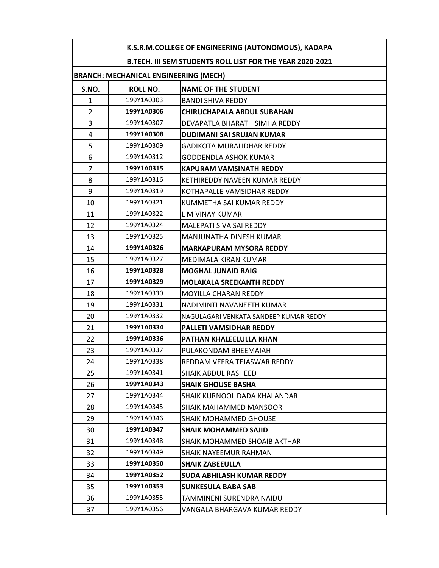|                                                           | K.S.R.M.COLLEGE OF ENGINEERING (AUTONOMOUS), KADAPA |                                        |  |
|-----------------------------------------------------------|-----------------------------------------------------|----------------------------------------|--|
| B.TECH. III SEM STUDENTS ROLL LIST FOR THE YEAR 2020-2021 |                                                     |                                        |  |
|                                                           | <b>BRANCH: MECHANICAL ENGINEERING (MECH)</b>        |                                        |  |
| S.NO.                                                     | <b>ROLL NO.</b>                                     | <b>NAME OF THE STUDENT</b>             |  |
| 1                                                         | 199Y1A0303                                          | <b>BANDI SHIVA REDDY</b>               |  |
| $\overline{2}$                                            | 199Y1A0306                                          | <b>CHIRUCHAPALA ABDUL SUBAHAN</b>      |  |
| 3                                                         | 199Y1A0307                                          | DEVAPATLA BHARATH SIMHA REDDY          |  |
| 4                                                         | 199Y1A0308                                          | <b>DUDIMANI SAI SRUJAN KUMAR</b>       |  |
| 5                                                         | 199Y1A0309                                          | <b>GADIKOTA MURALIDHAR REDDY</b>       |  |
| 6                                                         | 199Y1A0312                                          | <b>GODDENDLA ASHOK KUMAR</b>           |  |
| $\overline{7}$                                            | 199Y1A0315                                          | <b>KAPURAM VAMSINATH REDDY</b>         |  |
| 8                                                         | 199Y1A0316                                          | KETHIREDDY NAVEEN KUMAR REDDY          |  |
| 9                                                         | 199Y1A0319                                          | KOTHAPALLE VAMSIDHAR REDDY             |  |
| 10                                                        | 199Y1A0321                                          | KUMMETHA SAI KUMAR REDDY               |  |
| 11                                                        | 199Y1A0322                                          | L M VINAY KUMAR                        |  |
| 12                                                        | 199Y1A0324                                          | MALEPATI SIVA SAI REDDY                |  |
| 13                                                        | 199Y1A0325                                          | MANJUNATHA DINESH KUMAR                |  |
| 14                                                        | 199Y1A0326                                          | <b>MARKAPURAM MYSORA REDDY</b>         |  |
| 15                                                        | 199Y1A0327                                          | MEDIMALA KIRAN KUMAR                   |  |
| 16                                                        | 199Y1A0328                                          | <b>MOGHAL JUNAID BAIG</b>              |  |
| 17                                                        | 199Y1A0329                                          | <b>MOLAKALA SREEKANTH REDDY</b>        |  |
| 18                                                        | 199Y1A0330                                          | MOYILLA CHARAN REDDY                   |  |
| 19                                                        | 199Y1A0331                                          | NADIMINTI NAVANEETH KUMAR              |  |
| 20                                                        | 199Y1A0332                                          | NAGULAGARI VENKATA SANDEEP KUMAR REDDY |  |
| 21                                                        | 199Y1A0334                                          | <b>PALLETI VAMSIDHAR REDDY</b>         |  |
| 22                                                        | 199Y1A0336                                          | PATHAN KHALEELULLA KHAN                |  |
| 23                                                        | 199Y1A0337                                          | PULAKONDAM BHEEMAIAH                   |  |
| 24                                                        | 199Y1A0338                                          | REDDAM VEERA TEJASWAR REDDY            |  |
| 25                                                        | 199Y1A0341                                          | SHAIK ABDUL RASHEED                    |  |
| 26                                                        | 199Y1A0343                                          | <b>SHAIK GHOUSE BASHA</b>              |  |
| 27                                                        | 199Y1A0344                                          | SHAIK KURNOOL DADA KHALANDAR           |  |
| 28                                                        | 199Y1A0345                                          | SHAIK MAHAMMED MANSOOR                 |  |
| 29                                                        | 199Y1A0346                                          | SHAIK MOHAMMED GHOUSE                  |  |
| 30                                                        | 199Y1A0347                                          | <b>SHAIK MOHAMMED SAJID</b>            |  |
| 31                                                        | 199Y1A0348                                          | SHAIK MOHAMMED SHOAIB AKTHAR           |  |
| 32                                                        | 199Y1A0349                                          | SHAIK NAYEEMUR RAHMAN                  |  |
| 33                                                        | 199Y1A0350                                          | <b>SHAIK ZABEEULLA</b>                 |  |
| 34                                                        | 199Y1A0352                                          | SUDA ABHILASH KUMAR REDDY              |  |
| 35                                                        | 199Y1A0353                                          | <b>SUNKESULA BABA SAB</b>              |  |
| 36                                                        | 199Y1A0355                                          | TAMMINENI SURENDRA NAIDU               |  |
| 37                                                        | 199Y1A0356                                          | VANGALA BHARGAVA KUMAR REDDY           |  |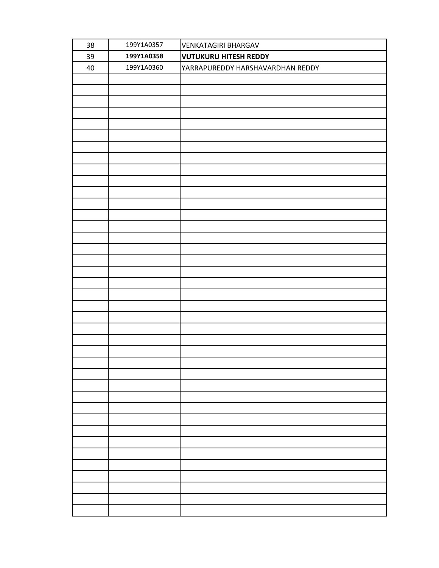| 38 | 199Y1A0357 | <b>VENKATAGIRI BHARGAV</b>       |
|----|------------|----------------------------------|
| 39 | 199Y1A0358 | <b>VUTUKURU HITESH REDDY</b>     |
| 40 | 199Y1A0360 | YARRAPUREDDY HARSHAVARDHAN REDDY |
|    |            |                                  |
|    |            |                                  |
|    |            |                                  |
|    |            |                                  |
|    |            |                                  |
|    |            |                                  |
|    |            |                                  |
|    |            |                                  |
|    |            |                                  |
|    |            |                                  |
|    |            |                                  |
|    |            |                                  |
|    |            |                                  |
|    |            |                                  |
|    |            |                                  |
|    |            |                                  |
|    |            |                                  |
|    |            |                                  |
|    |            |                                  |
|    |            |                                  |
|    |            |                                  |
|    |            |                                  |
|    |            |                                  |
|    |            |                                  |
|    |            |                                  |
|    |            |                                  |
|    |            |                                  |
|    |            |                                  |
|    |            |                                  |
|    |            |                                  |
|    |            |                                  |
|    |            |                                  |
|    |            |                                  |
|    |            |                                  |
|    |            |                                  |
|    |            |                                  |
|    |            |                                  |
|    |            |                                  |
|    |            |                                  |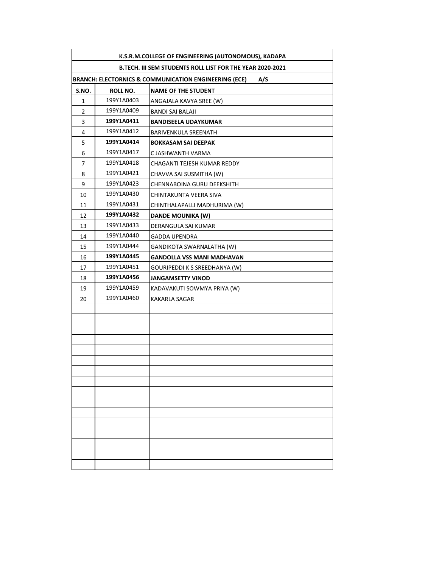|                                                           | K.S.R.M.COLLEGE OF ENGINEERING (AUTONOMOUS), KADAPA          |                                   |  |
|-----------------------------------------------------------|--------------------------------------------------------------|-----------------------------------|--|
| B.TECH. III SEM STUDENTS ROLL LIST FOR THE YEAR 2020-2021 |                                                              |                                   |  |
|                                                           | BRANCH: ELECTORNICS & COMMUNICATION ENGINEERING (ECE)<br>A/S |                                   |  |
| S.NO.                                                     | ROLL NO.                                                     | <b>NAME OF THE STUDENT</b>        |  |
| 1                                                         | 199Y1A0403                                                   | ANGAJALA KAVYA SREE (W)           |  |
| $\overline{2}$                                            | 199Y1A0409                                                   | BANDI SAI BALAJI                  |  |
| 3                                                         | 199Y1A0411                                                   | <b>BANDISEELA UDAYKUMAR</b>       |  |
| 4                                                         | 199Y1A0412                                                   | BARIVENKULA SREENATH              |  |
| 5                                                         | 199Y1A0414                                                   | <b>BOKKASAM SAI DEEPAK</b>        |  |
| 6                                                         | 199Y1A0417                                                   | C JASHWANTH VARMA                 |  |
| 7                                                         | 199Y1A0418                                                   | CHAGANTI TEJESH KUMAR REDDY       |  |
| 8                                                         | 199Y1A0421                                                   | CHAVVA SAI SUSMITHA (W)           |  |
| 9                                                         | 199Y1A0423                                                   | CHENNABOINA GURU DEEKSHITH        |  |
| 10                                                        | 199Y1A0430                                                   | CHINTAKUNTA VEERA SIVA            |  |
| 11                                                        | 199Y1A0431                                                   | CHINTHALAPALLI MADHURIMA (W)      |  |
| 12                                                        | 199Y1A0432                                                   | <b>DANDE MOUNIKA (W)</b>          |  |
| 13                                                        | 199Y1A0433                                                   | DERANGULA SAI KUMAR               |  |
| 14                                                        | 199Y1A0440                                                   | <b>GADDA UPENDRA</b>              |  |
| 15                                                        | 199Y1A0444                                                   | GANDIKOTA SWARNALATHA (W)         |  |
| 16                                                        | 199Y1A0445                                                   | <b>GANDOLLA VSS MANI MADHAVAN</b> |  |
| 17                                                        | 199Y1A0451                                                   | GOURIPEDDI K S SREEDHANYA (W)     |  |
| 18                                                        | 199Y1A0456                                                   | <b>JANGAMSETTY VINOD</b>          |  |
| 19                                                        | 199Y1A0459                                                   | KADAVAKUTI SOWMYA PRIYA (W)       |  |
| 20                                                        | 199Y1A0460                                                   | KAKARLA SAGAR                     |  |
|                                                           |                                                              |                                   |  |
|                                                           |                                                              |                                   |  |
|                                                           |                                                              |                                   |  |
|                                                           |                                                              |                                   |  |
|                                                           |                                                              |                                   |  |
|                                                           |                                                              |                                   |  |
|                                                           |                                                              |                                   |  |
|                                                           |                                                              |                                   |  |
|                                                           |                                                              |                                   |  |
|                                                           |                                                              |                                   |  |
|                                                           |                                                              |                                   |  |
|                                                           |                                                              |                                   |  |
|                                                           |                                                              |                                   |  |
|                                                           |                                                              |                                   |  |
|                                                           |                                                              |                                   |  |
|                                                           |                                                              |                                   |  |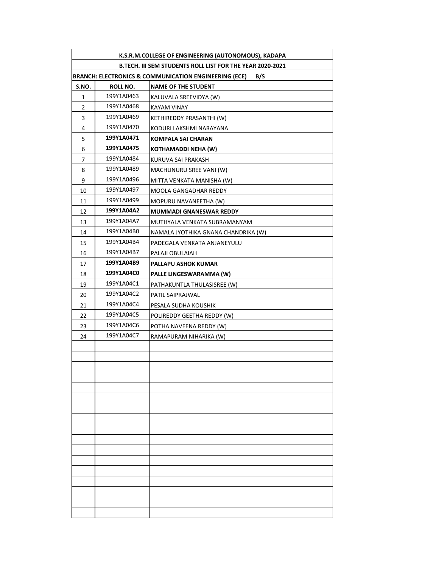|                                                           | K.S.R.M.COLLEGE OF ENGINEERING (AUTONOMOUS), KADAPA                     |                                     |  |
|-----------------------------------------------------------|-------------------------------------------------------------------------|-------------------------------------|--|
| B.TECH. III SEM STUDENTS ROLL LIST FOR THE YEAR 2020-2021 |                                                                         |                                     |  |
|                                                           | <b>BRANCH: ELECTRONICS &amp; COMMUNICATION ENGINEERING (ECE)</b><br>B/S |                                     |  |
| S.NO.                                                     | ROLL NO.                                                                | <b>NAME OF THE STUDENT</b>          |  |
| 1                                                         | 199Y1A0463                                                              | KALUVALA SREEVIDYA (W)              |  |
| $\overline{2}$                                            | 199Y1A0468                                                              | <b>KAYAM VINAY</b>                  |  |
| 3                                                         | 199Y1A0469                                                              | KETHIREDDY PRASANTHI (W)            |  |
| 4                                                         | 199Y1A0470                                                              | KODURI LAKSHMI NARAYANA             |  |
| 5                                                         | 199Y1A0471                                                              | <b>KOMPALA SAI CHARAN</b>           |  |
| 6                                                         | 199Y1A0475                                                              | <b>KOTHAMADDI NEHA (W)</b>          |  |
| 7                                                         | 199Y1A0484                                                              | KURUVA SAI PRAKASH                  |  |
| 8                                                         | 199Y1A0489                                                              | MACHUNURU SREE VANI (W)             |  |
| 9                                                         | 199Y1A0496                                                              | MITTA VENKATA MANISHA (W)           |  |
| 10                                                        | 199Y1A0497                                                              | MOOLA GANGADHAR REDDY               |  |
| 11                                                        | 199Y1A0499                                                              | MOPURU NAVANEETHA (W)               |  |
| 12                                                        | 199Y1A04A2                                                              | <b>MUMMADI GNANESWAR REDDY</b>      |  |
| 13                                                        | 199Y1A04A7                                                              | MUTHYALA VENKATA SUBRAMANYAM        |  |
| 14                                                        | 199Y1A04B0                                                              | NAMALA JYOTHIKA GNANA CHANDRIKA (W) |  |
| 15                                                        | 199Y1A04B4                                                              | PADEGALA VENKATA ANJANEYULU         |  |
| 16                                                        | 199Y1A04B7                                                              | PALAJI OBULAIAH                     |  |
| 17                                                        | 199Y1A04B9                                                              | PALLAPU ASHOK KUMAR                 |  |
| 18                                                        | 199Y1A04C0                                                              | PALLE LINGESWARAMMA (W)             |  |
| 19                                                        | 199Y1A04C1                                                              | PATHAKUNTLA THULASISREE (W)         |  |
| 20                                                        | 199Y1A04C2                                                              | PATIL SAIPRAJWAL                    |  |
| 21                                                        | 199Y1A04C4                                                              | PESALA SUDHA KOUSHIK                |  |
| 22                                                        | 199Y1A04C5                                                              | POLIREDDY GEETHA REDDY (W)          |  |
| 23                                                        | 199Y1A04C6                                                              | POTHA NAVEENA REDDY (W)             |  |
| 24                                                        | 199Y1A04C7                                                              | RAMAPURAM NIHARIKA (W)              |  |
|                                                           |                                                                         |                                     |  |
|                                                           |                                                                         |                                     |  |
|                                                           |                                                                         |                                     |  |
|                                                           |                                                                         |                                     |  |
|                                                           |                                                                         |                                     |  |
|                                                           |                                                                         |                                     |  |
|                                                           |                                                                         |                                     |  |
|                                                           |                                                                         |                                     |  |
|                                                           |                                                                         |                                     |  |
|                                                           |                                                                         |                                     |  |
|                                                           |                                                                         |                                     |  |
|                                                           |                                                                         |                                     |  |
|                                                           |                                                                         |                                     |  |
|                                                           |                                                                         |                                     |  |
|                                                           |                                                                         |                                     |  |
|                                                           |                                                                         |                                     |  |
|                                                           |                                                                         |                                     |  |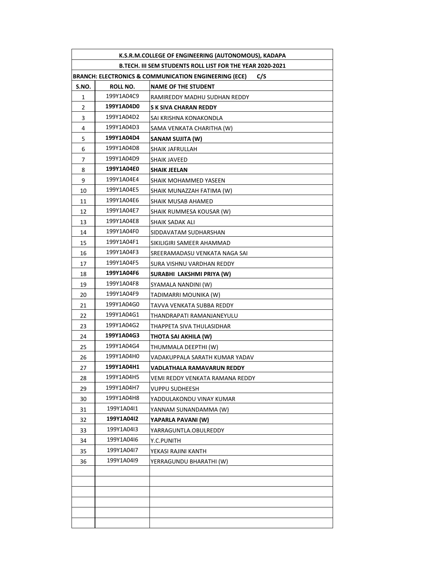| K.S.R.M.COLLEGE OF ENGINEERING (AUTONOMOUS), KADAPA                     |                 |                                 |  |
|-------------------------------------------------------------------------|-----------------|---------------------------------|--|
| B.TECH. III SEM STUDENTS ROLL LIST FOR THE YEAR 2020-2021               |                 |                                 |  |
| <b>BRANCH: ELECTRONICS &amp; COMMUNICATION ENGINEERING (ECE)</b><br>C/S |                 |                                 |  |
| S.NO.                                                                   | <b>ROLL NO.</b> | <b>NAME OF THE STUDENT</b>      |  |
| 1                                                                       | 199Y1A04C9      | RAMIREDDY MADHU SUDHAN REDDY    |  |
| 2                                                                       | 199Y1A04D0      | S K SIVA CHARAN REDDY           |  |
| 3                                                                       | 199Y1A04D2      | SAI KRISHNA KONAKONDLA          |  |
| 4                                                                       | 199Y1A04D3      | SAMA VENKATA CHARITHA (W)       |  |
| 5                                                                       | 199Y1A04D4      | SANAM SUJITA (W)                |  |
| 6                                                                       | 199Y1A04D8      | SHAIK JAFRULLAH                 |  |
| 7                                                                       | 199Y1A04D9      | SHAIK JAVEED                    |  |
| 8                                                                       | 199Y1A04E0      | <b>SHAIK JEELAN</b>             |  |
| 9                                                                       | 199Y1A04E4      | SHAIK MOHAMMED YASEEN           |  |
| 10                                                                      | 199Y1A04E5      | SHAIK MUNAZZAH FATIMA (W)       |  |
| 11                                                                      | 199Y1A04E6      | SHAIK MUSAB AHAMED              |  |
| 12                                                                      | 199Y1A04E7      | SHAIK RUMMESA KOUSAR (W)        |  |
| 13                                                                      | 199Y1A04E8      | SHAIK SADAK ALI                 |  |
| 14                                                                      | 199Y1A04F0      | SIDDAVATAM SUDHARSHAN           |  |
| 15                                                                      | 199Y1A04F1      | SIKILIGIRI SAMEER AHAMMAD       |  |
| 16                                                                      | 199Y1A04F3      | SREERAMADASU VENKATA NAGA SAI   |  |
| 17                                                                      | 199Y1A04F5      | SURA VISHNU VARDHAN REDDY       |  |
| 18                                                                      | 199Y1A04F6      | SURABHI LAKSHMI PRIYA (W)       |  |
| 19                                                                      | 199Y1A04F8      | SYAMALA NANDINI (W)             |  |
| 20                                                                      | 199Y1A04F9      | TADIMARRI MOUNIKA (W)           |  |
| 21                                                                      | 199Y1A04G0      | TAVVA VENKATA SUBBA REDDY       |  |
| 22                                                                      | 199Y1A04G1      | THANDRAPATI RAMANJANEYULU       |  |
| 23                                                                      | 199Y1A04G2      | THAPPETA SIVA THULASIDHAR       |  |
| 24                                                                      | 199Y1A04G3      | THOTA SAI AKHILA (W)            |  |
| 25                                                                      | 199Y1A04G4      | THUMMALA DEEPTHI (W)            |  |
| 26                                                                      | 199Y1A04H0      | VADAKUPPALA SARATH KUMAR YADAV  |  |
| 27                                                                      | 199Y1A04H1      | VADLATHALA RAMAVARUN REDDY      |  |
| 28                                                                      | 199Y1A04H5      | VEMI REDDY VENKATA RAMANA REDDY |  |
| 29                                                                      | 199Y1A04H7      | VUPPU SUDHEESH                  |  |
| 30                                                                      | 199Y1A04H8      | YADDULAKONDU VINAY KUMAR        |  |
| 31                                                                      | 199Y1A04I1      | YANNAM SUNANDAMMA (W)           |  |
| 32                                                                      | 199Y1A04I2      | YAPARLA PAVANI (W)              |  |
| 33                                                                      | 199Y1A04I3      | YARRAGUNTLA.OBULREDDY           |  |
| 34                                                                      | 199Y1A04I6      | Y.C.PUNITH                      |  |
| 35                                                                      | 199Y1A04I7      | YEKASI RAJINI KANTH             |  |
| 36                                                                      | 199Y1A04I9      | YERRAGUNDU BHARATHI (W)         |  |
|                                                                         |                 |                                 |  |
|                                                                         |                 |                                 |  |
|                                                                         |                 |                                 |  |
|                                                                         |                 |                                 |  |
|                                                                         |                 |                                 |  |
|                                                                         |                 |                                 |  |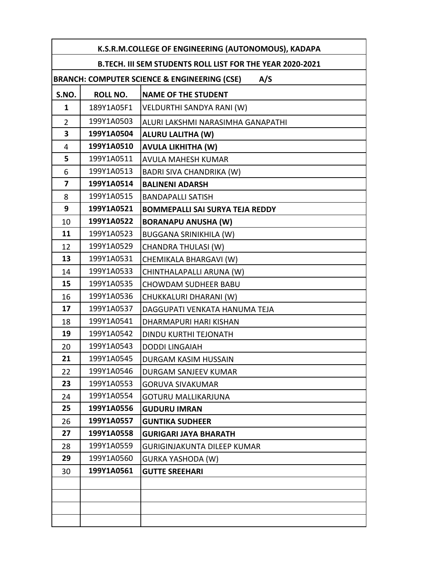| K.S.R.M.COLLEGE OF ENGINEERING (AUTONOMOUS), KADAPA            |                 |                                        |
|----------------------------------------------------------------|-----------------|----------------------------------------|
| B.TECH. III SEM STUDENTS ROLL LIST FOR THE YEAR 2020-2021      |                 |                                        |
| <b>BRANCH: COMPUTER SCIENCE &amp; ENGINEERING (CSE)</b><br>A/S |                 |                                        |
| S.NO.                                                          | <b>ROLL NO.</b> | <b>NAME OF THE STUDENT</b>             |
| $\mathbf{1}$                                                   | 189Y1A05F1      | VELDURTHI SANDYA RANI (W)              |
| $\overline{2}$                                                 | 199Y1A0503      | ALURI LAKSHMI NARASIMHA GANAPATHI      |
| 3                                                              | 199Y1A0504      | <b>ALURU LALITHA (W)</b>               |
| 4                                                              | 199Y1A0510      | <b>AVULA LIKHITHA (W)</b>              |
| 5                                                              | 199Y1A0511      | <b>AVULA MAHESH KUMAR</b>              |
| 6                                                              | 199Y1A0513      | <b>BADRI SIVA CHANDRIKA (W)</b>        |
| 7                                                              | 199Y1A0514      | <b>BALINENI ADARSH</b>                 |
| 8                                                              | 199Y1A0515      | <b>BANDAPALLI SATISH</b>               |
| 9                                                              | 199Y1A0521      | <b>BOMMEPALLI SAI SURYA TEJA REDDY</b> |
| 10                                                             | 199Y1A0522      | <b>BORANAPU ANUSHA (W)</b>             |
| 11                                                             | 199Y1A0523      | <b>BUGGANA SRINIKHILA (W)</b>          |
| 12                                                             | 199Y1A0529      | <b>CHANDRA THULASI (W)</b>             |
| 13                                                             | 199Y1A0531      | CHEMIKALA BHARGAVI (W)                 |
| 14                                                             | 199Y1A0533      | CHINTHALAPALLI ARUNA (W)               |
| 15                                                             | 199Y1A0535      | <b>CHOWDAM SUDHEER BABU</b>            |
| 16                                                             | 199Y1A0536      | CHUKKALURI DHARANI (W)                 |
| 17                                                             | 199Y1A0537      | DAGGUPATI VENKATA HANUMA TEJA          |
| 18                                                             | 199Y1A0541      | DHARMAPURI HARI KISHAN                 |
| 19                                                             | 199Y1A0542      | <b>DINDU KURTHI TEJONATH</b>           |
| 20                                                             | 199Y1A0543      | <b>DODDI LINGAIAH</b>                  |
| 21                                                             | 199Y1A0545      | DURGAM KASIM HUSSAIN                   |
| 22                                                             | 199Y1A0546      | DURGAM SANJEEV KUMAR                   |
| 23                                                             | 199Y1A0553      | <b>GORUVA SIVAKUMAR</b>                |
| 24                                                             | 199Y1A0554      | <b>GOTURU MALLIKARJUNA</b>             |
| 25                                                             | 199Y1A0556      | <b>GUDURU IMRAN</b>                    |
| 26                                                             | 199Y1A0557      | <b>GUNTIKA SUDHEER</b>                 |
| 27                                                             | 199Y1A0558      | <b>GURIGARI JAYA BHARATH</b>           |
| 28                                                             | 199Y1A0559      | GURIGINJAKUNTA DILEEP KUMAR            |
| 29                                                             | 199Y1A0560      | <b>GURKA YASHODA (W)</b>               |
| 30                                                             | 199Y1A0561      | <b>GUTTE SREEHARI</b>                  |
|                                                                |                 |                                        |
|                                                                |                 |                                        |
|                                                                |                 |                                        |
|                                                                |                 |                                        |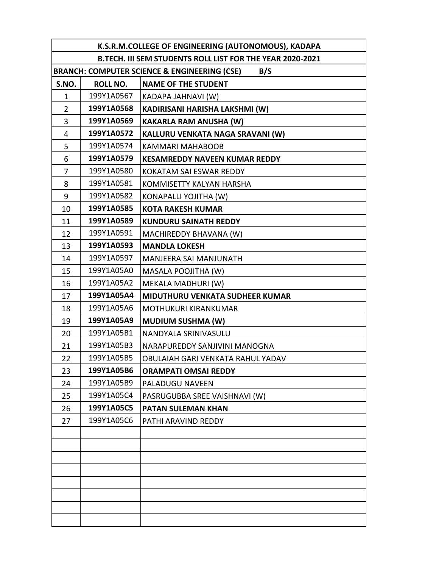| K.S.R.M.COLLEGE OF ENGINEERING (AUTONOMOUS), KADAPA       |                                                     |                                      |  |
|-----------------------------------------------------------|-----------------------------------------------------|--------------------------------------|--|
| B.TECH. III SEM STUDENTS ROLL LIST FOR THE YEAR 2020-2021 |                                                     |                                      |  |
|                                                           | BRANCH: COMPUTER SCIENCE & ENGINEERING (CSE)<br>B/S |                                      |  |
| S.NO.                                                     | <b>ROLL NO.</b>                                     | <b>NAME OF THE STUDENT</b>           |  |
| 1                                                         | 199Y1A0567                                          | KADAPA JAHNAVI (W)                   |  |
| $\overline{2}$                                            | 199Y1A0568                                          | KADIRISANI HARISHA LAKSHMI (W)       |  |
| 3                                                         | 199Y1A0569                                          | <b>KAKARLA RAM ANUSHA (W)</b>        |  |
| $\overline{4}$                                            | 199Y1A0572                                          | KALLURU VENKATA NAGA SRAVANI (W)     |  |
| 5                                                         | 199Y1A0574                                          | <b>KAMMARI MAHABOOB</b>              |  |
| 6                                                         | 199Y1A0579                                          | <b>KESAMREDDY NAVEEN KUMAR REDDY</b> |  |
| 7                                                         | 199Y1A0580                                          | KOKATAM SAI ESWAR REDDY              |  |
| 8                                                         | 199Y1A0581                                          | KOMMISETTY KALYAN HARSHA             |  |
| 9                                                         | 199Y1A0582                                          | KONAPALLI YOJITHA (W)                |  |
| 10                                                        | 199Y1A0585                                          | <b>KOTA RAKESH KUMAR</b>             |  |
| 11                                                        | 199Y1A0589                                          | <b>KUNDURU SAINATH REDDY</b>         |  |
| 12                                                        | 199Y1A0591                                          | MACHIREDDY BHAVANA (W)               |  |
| 13                                                        | 199Y1A0593                                          | <b>MANDLA LOKESH</b>                 |  |
| 14                                                        | 199Y1A0597                                          | MANJEERA SAI MANJUNATH               |  |
| 15                                                        | 199Y1A05A0                                          | MASALA POOJITHA (W)                  |  |
| 16                                                        | 199Y1A05A2                                          | MEKALA MADHURI (W)                   |  |
| 17                                                        | 199Y1A05A4                                          | MIDUTHURU VENKATA SUDHEER KUMAR      |  |
| 18                                                        | 199Y1A05A6                                          | MOTHUKURI KIRANKUMAR                 |  |
| 19                                                        | 199Y1A05A9                                          | <b>MUDIUM SUSHMA (W)</b>             |  |
| 20                                                        | 199Y1A05B1                                          | NANDYALA SRINIVASULU                 |  |
| 21                                                        | 199Y1A05B3                                          | NARAPUREDDY SANJIVINI MANOGNA        |  |
| 22                                                        | 199Y1A05B5                                          | OBULAIAH GARI VENKATA RAHUL YADAV    |  |
| 23                                                        | 199Y1A05B6                                          | <b>ORAMPATI OMSAI REDDY</b>          |  |
| 24                                                        | 199Y1A05B9                                          | PALADUGU NAVEEN                      |  |
| 25                                                        | 199Y1A05C4                                          | PASRUGUBBA SREE VAISHNAVI (W)        |  |
| 26                                                        | 199Y1A05C5                                          | <b>PATAN SULEMAN KHAN</b>            |  |
| 27                                                        | 199Y1A05C6                                          | PATHI ARAVIND REDDY                  |  |
|                                                           |                                                     |                                      |  |
|                                                           |                                                     |                                      |  |
|                                                           |                                                     |                                      |  |
|                                                           |                                                     |                                      |  |
|                                                           |                                                     |                                      |  |
|                                                           |                                                     |                                      |  |
|                                                           |                                                     |                                      |  |
|                                                           |                                                     |                                      |  |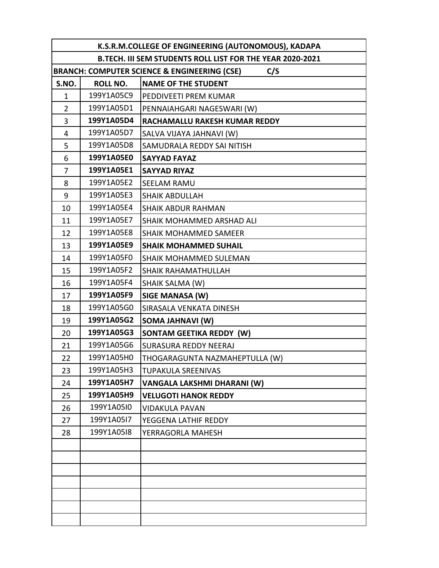| K.S.R.M.COLLEGE OF ENGINEERING (AUTONOMOUS), KADAPA            |                 |                                 |
|----------------------------------------------------------------|-----------------|---------------------------------|
| B.TECH. III SEM STUDENTS ROLL LIST FOR THE YEAR 2020-2021      |                 |                                 |
| <b>BRANCH: COMPUTER SCIENCE &amp; ENGINEERING (CSE)</b><br>C/S |                 |                                 |
| S.NO.                                                          | <b>ROLL NO.</b> | <b>NAME OF THE STUDENT</b>      |
| 1                                                              | 199Y1A05C9      | PEDDIVEETI PREM KUMAR           |
| $\overline{2}$                                                 | 199Y1A05D1      | PENNAIAHGARI NAGESWARI (W)      |
| 3                                                              | 199Y1A05D4      | RACHAMALLU RAKESH KUMAR REDDY   |
| 4                                                              | 199Y1A05D7      | SALVA VIJAYA JAHNAVI (W)        |
| 5                                                              | 199Y1A05D8      | SAMUDRALA REDDY SAI NITISH      |
| 6                                                              | 199Y1A05E0      | <b>SAYYAD FAYAZ</b>             |
| 7                                                              | 199Y1A05E1      | <b>SAYYAD RIYAZ</b>             |
| 8                                                              | 199Y1A05E2      | <b>SEELAM RAMU</b>              |
| 9                                                              | 199Y1A05E3      | <b>SHAIK ABDULLAH</b>           |
| 10                                                             | 199Y1A05E4      | SHAIK ABDUR RAHMAN              |
| 11                                                             | 199Y1A05E7      | SHAIK MOHAMMED ARSHAD ALI       |
| 12                                                             | 199Y1A05E8      | SHAIK MOHAMMED SAMEER           |
| 13                                                             | 199Y1A05E9      | <b>SHAIK MOHAMMED SUHAIL</b>    |
| 14                                                             | 199Y1A05F0      | SHAIK MOHAMMED SULEMAN          |
| 15                                                             | 199Y1A05F2      | SHAIK RAHAMATHULLAH             |
| 16                                                             | 199Y1A05F4      | SHAIK SALMA (W)                 |
| 17                                                             | 199Y1A05F9      | SIGE MANASA (W)                 |
| 18                                                             | 199Y1A05G0      | SIRASALA VENKATA DINESH         |
| 19                                                             | 199Y1A05G2      | <b>SOMA JAHNAVI (W)</b>         |
| 20                                                             | 199Y1A05G3      | <b>SONTAM GEETIKA REDDY (W)</b> |
| 21                                                             | 199Y1A05G6      | <b>SURASURA REDDY NEERAJ</b>    |
| 22                                                             | 199Y1A05H0      | THOGARAGUNTA NAZMAHEPTULLA (W)  |
| 23                                                             | 199Y1A05H3      | TUPAKULA SREENIVAS              |
| 24                                                             | 199Y1A05H7      | VANGALA LAKSHMI DHARANI (W)     |
| 25                                                             | 199Y1A05H9      | <b>VELUGOTI HANOK REDDY</b>     |
| 26                                                             | 199Y1A05I0      | <b>VIDAKULA PAVAN</b>           |
| 27                                                             | 199Y1A05I7      | YEGGENA LATHIF REDDY            |
| 28                                                             | 199Y1A05I8      | YERRAGORLA MAHESH               |
|                                                                |                 |                                 |
|                                                                |                 |                                 |
|                                                                |                 |                                 |
|                                                                |                 |                                 |
|                                                                |                 |                                 |
|                                                                |                 |                                 |
|                                                                |                 |                                 |